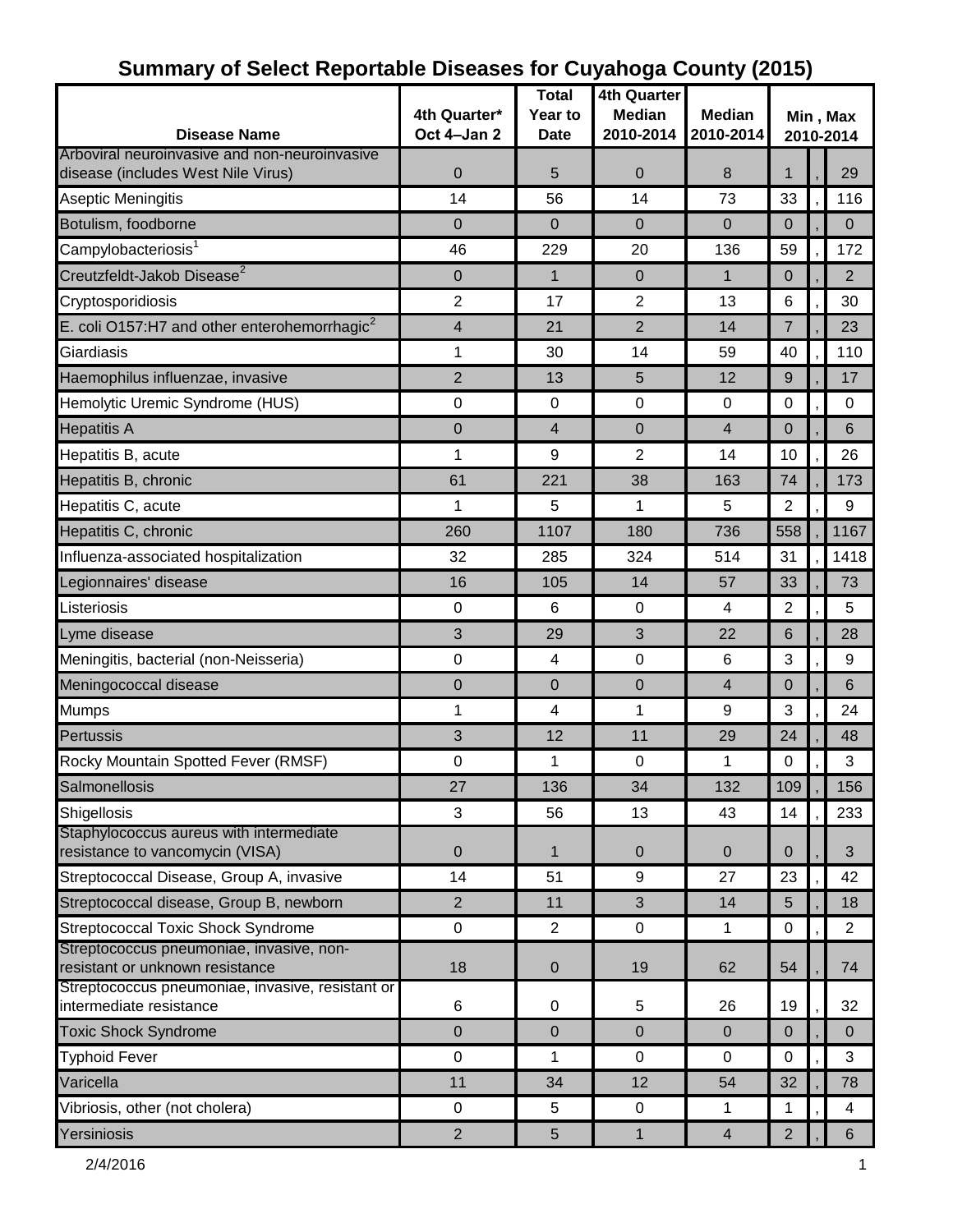| <b>Disease Name</b>                                                                 | 4th Quarter*<br>Oct 4-Jan 2 | <b>Total</b><br>Year to<br><b>Date</b> | 4th Quarter<br><b>Median</b><br>2010-2014 | <b>Median</b><br>2010-2014 | Min, Max<br>2010-2014 |  |                |  |
|-------------------------------------------------------------------------------------|-----------------------------|----------------------------------------|-------------------------------------------|----------------------------|-----------------------|--|----------------|--|
| Arboviral neuroinvasive and non-neuroinvasive<br>disease (includes West Nile Virus) | $\mathbf 0$                 | 5                                      | $\mathbf 0$                               | 8                          | $\mathbf{1}$          |  | 29             |  |
| Aseptic Meningitis                                                                  | 14                          | 56                                     | 14                                        | 73                         | 33                    |  | 116            |  |
| Botulism, foodborne                                                                 | $\Omega$                    | $\mathbf 0$                            | $\mathbf 0$                               | $\overline{0}$             | $\Omega$              |  | $\mathbf 0$    |  |
| Campylobacteriosis <sup>1</sup>                                                     | 46                          | 229                                    | 20                                        | 136                        | 59                    |  | 172            |  |
| Creutzfeldt-Jakob Disease <sup>2</sup>                                              | $\overline{0}$              | $\mathbf 1$                            | $\mathbf 0$                               | $\mathbf{1}$               | $\mathbf 0$           |  | 2              |  |
| Cryptosporidiosis                                                                   | $\overline{c}$              | 17                                     | $\overline{2}$                            | 13                         | $6\phantom{1}6$       |  | 30             |  |
| E. coli O157:H7 and other enterohemorrhagic $^2$                                    | 4                           | 21                                     | $\overline{2}$                            | 14                         | $\overline{7}$        |  | 23             |  |
| Giardiasis                                                                          | 1                           | 30                                     | 14                                        | 59                         | 40                    |  | 110            |  |
| Haemophilus influenzae, invasive                                                    | $\overline{2}$              | 13                                     | 5                                         | 12                         | 9                     |  | 17             |  |
| Hemolytic Uremic Syndrome (HUS)                                                     | $\mathbf 0$                 | $\mathbf 0$                            | 0                                         | $\overline{0}$             | $\mathbf 0$           |  | $\Omega$       |  |
| <b>Hepatitis A</b>                                                                  | $\mathbf 0$                 | $\overline{4}$                         | $\boldsymbol{0}$                          | 4                          | 0                     |  | 6              |  |
| Hepatitis B, acute                                                                  | 1                           | 9                                      | $\overline{2}$                            | 14                         | 10                    |  | 26             |  |
| Hepatitis B, chronic                                                                | 61                          | 221                                    | 38                                        | 163                        | 74                    |  | 173            |  |
| Hepatitis C, acute                                                                  | 1                           | 5                                      | 1                                         | 5                          | $\overline{2}$        |  | 9              |  |
| Hepatitis C, chronic                                                                | 260                         | 1107                                   | 180                                       | 736                        | 558                   |  | 1167           |  |
| Influenza-associated hospitalization                                                | 32                          | 285                                    | 324                                       | 514                        | 31                    |  | 1418           |  |
| Legionnaires' disease                                                               | 16                          | 105                                    | 14                                        | 57                         | 33                    |  | 73             |  |
| Listeriosis                                                                         | $\mathbf 0$                 | $6\phantom{1}6$                        | $\mathbf 0$                               | 4                          | $\overline{2}$        |  | 5              |  |
| Lyme disease                                                                        | 3                           | 29                                     | 3                                         | 22                         | 6                     |  | 28             |  |
| Meningitis, bacterial (non-Neisseria)                                               | $\boldsymbol{0}$            | 4                                      | $\pmb{0}$                                 | 6                          | 3                     |  | 9              |  |
| Meningococcal disease                                                               | 0                           | $\mathbf 0$                            | 0                                         | $\overline{4}$             | 0                     |  | 6              |  |
| <b>Mumps</b>                                                                        | 1                           | 4                                      | 1                                         | 9                          | 3                     |  | 24             |  |
| Pertussis                                                                           | 3                           | 12                                     | 11                                        | 29                         | 24                    |  | 48             |  |
| Rocky Mountain Spotted Fever (RMSF)                                                 | $\pmb{0}$                   | 1                                      | 0                                         | 1                          | $\mathbf 0$           |  | 3              |  |
| Salmonellosis                                                                       | 27                          | 136                                    | 34                                        | 132                        | 109                   |  | 156            |  |
|                                                                                     | 3                           |                                        | 13                                        | 43                         | 14                    |  |                |  |
| Shigellosis<br>Staphylococcus aureus with intermediate                              |                             | 56                                     |                                           |                            |                       |  | 233            |  |
| resistance to vancomycin (VISA)                                                     | $\mathbf 0$                 | $\mathbf{1}$                           | $\mathbf 0$                               | $\mathbf{0}$               | 0                     |  | 3              |  |
| Streptococcal Disease, Group A, invasive                                            | 14                          | 51                                     | 9                                         | 27                         | 23                    |  | 42             |  |
| Streptococcal disease, Group B, newborn                                             | $\overline{2}$              | 11                                     | 3                                         | 14                         | 5                     |  | 18             |  |
| <b>Streptococcal Toxic Shock Syndrome</b>                                           | $\pmb{0}$                   | $\overline{2}$                         | $\pmb{0}$                                 | 1                          | $\mathbf 0$           |  | $\overline{2}$ |  |
| Streptococcus pneumoniae, invasive, non-<br>resistant or unknown resistance         | 18                          | $\mathbf{0}$                           | 19                                        | 62                         | 54                    |  | 74             |  |
| Streptococcus pneumoniae, invasive, resistant or                                    |                             |                                        |                                           |                            |                       |  |                |  |
| intermediate resistance                                                             | $\,6$                       | 0                                      | 5                                         | 26                         | 19                    |  | 32             |  |
| <b>Toxic Shock Syndrome</b>                                                         | $\mathbf 0$                 | $\mathbf{0}$                           | $\mathbf 0$                               | $\mathbf{0}$               | $\mathbf 0$           |  | $\mathbf{0}$   |  |
| <b>Typhoid Fever</b>                                                                | $\mathbf 0$                 | 1                                      | $\mathbf 0$                               | 0                          | $\mathbf 0$           |  | 3              |  |
| Varicella                                                                           | 11                          | 34                                     | 12                                        | 54                         | 32                    |  | 78             |  |
| Vibriosis, other (not cholera)                                                      | $\mathbf 0$                 | 5                                      | $\mathbf 0$                               | 1                          | 1                     |  | 4              |  |
| Yersiniosis                                                                         | $\sqrt{2}$                  | 5                                      | $\mathbf{1}$                              | $\overline{4}$             | $\overline{2}$        |  | $6^{\circ}$    |  |

# **Summary of Select Reportable Diseases for Cuyahoga County (2015)**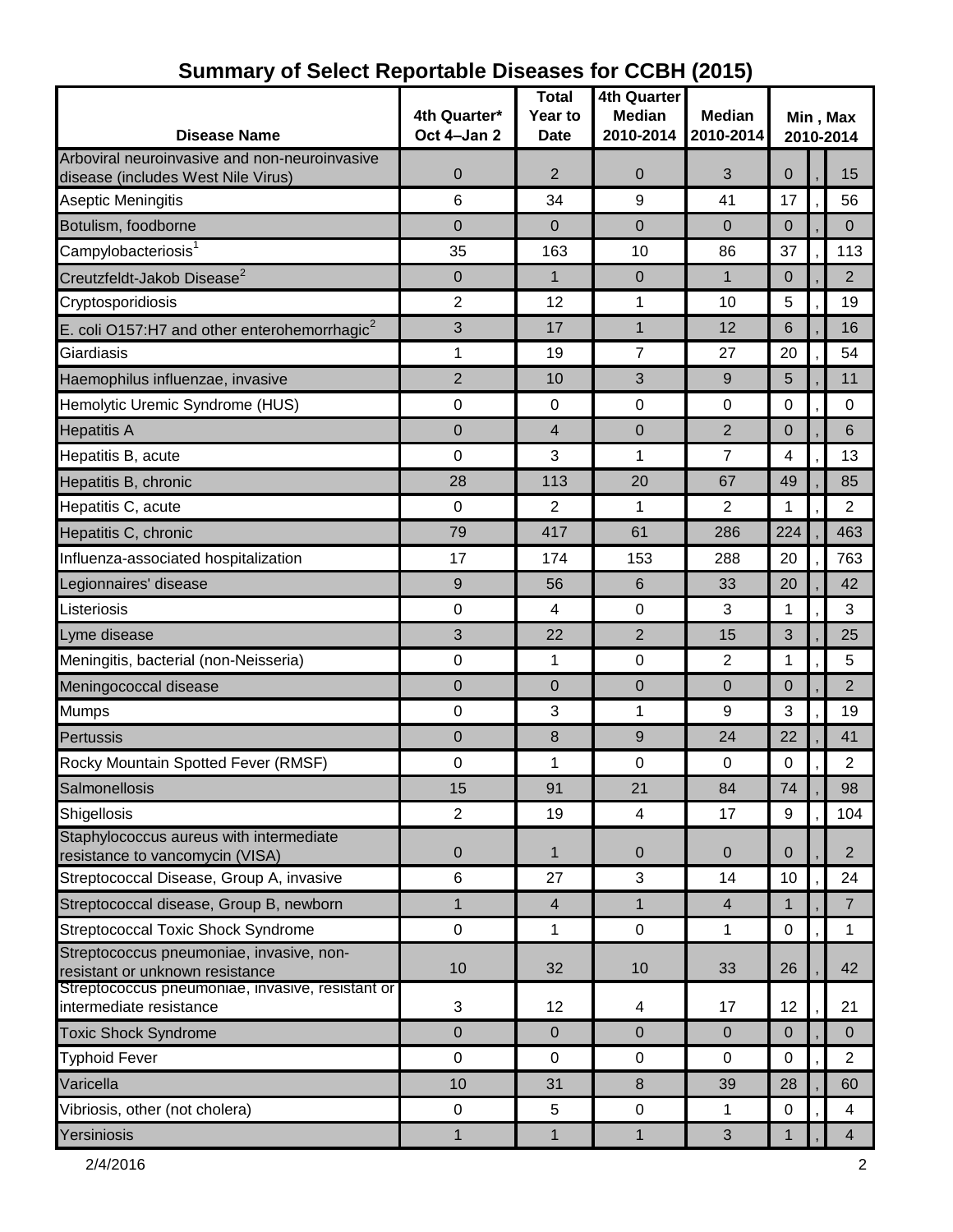| <b>Disease Name</b>                                                         | 4th Quarter*<br>Oct 4-Jan 2 | <b>Total</b><br>Year to<br><b>Date</b> | <b>4th Quarter</b><br><b>Median</b><br>2010-2014 | <b>Median</b><br>2010-2014 | Min, Max<br>2010-2014 |  |                |  |
|-----------------------------------------------------------------------------|-----------------------------|----------------------------------------|--------------------------------------------------|----------------------------|-----------------------|--|----------------|--|
| Arboviral neuroinvasive and non-neuroinvasive                               |                             | $\overline{2}$                         |                                                  |                            |                       |  |                |  |
| disease (includes West Nile Virus)                                          | $\mathbf 0$<br>6            | 34                                     | $\mathbf 0$                                      | 3<br>41                    | 0<br>17               |  | 15<br>56       |  |
| Aseptic Meningitis                                                          |                             |                                        | 9                                                |                            |                       |  |                |  |
| Botulism, foodborne                                                         | $\Omega$                    | $\Omega$                               | $\mathbf 0$                                      | $\overline{0}$             | 0                     |  | $\overline{0}$ |  |
| Campylobacteriosis <sup>1</sup>                                             | 35                          | 163                                    | 10                                               | 86                         | 37                    |  | 113            |  |
| Creutzfeldt-Jakob Disease <sup>2</sup>                                      | $\mathbf 0$                 | $\mathbf{1}$                           | $\overline{0}$                                   | $\mathbf{1}$               | 0                     |  | 2              |  |
| Cryptosporidiosis                                                           | $\overline{2}$              | 12                                     | 1                                                | 10                         | 5                     |  | 19             |  |
| E. coli O157:H7 and other enterohemorrhagic $2$                             | 3                           | 17                                     | 1                                                | 12                         | 6                     |  | 16             |  |
| Giardiasis                                                                  | $\mathbf 1$                 | 19                                     | $\overline{7}$                                   | 27                         | 20                    |  | 54             |  |
| Haemophilus influenzae, invasive                                            | $\overline{2}$              | 10                                     | 3                                                | 9                          | 5                     |  | 11             |  |
| Hemolytic Uremic Syndrome (HUS)                                             | 0                           | 0                                      | $\mathbf 0$                                      | $\mathbf 0$                | 0                     |  | 0              |  |
| <b>Hepatitis A</b>                                                          | $\Omega$                    | 4                                      | $\Omega$                                         | $\overline{2}$             | $\Omega$              |  | 6              |  |
| Hepatitis B, acute                                                          | 0                           | 3                                      | 1                                                | $\overline{7}$             | 4                     |  | 13             |  |
| Hepatitis B, chronic                                                        | 28                          | 113                                    | 20                                               | 67                         | 49                    |  | 85             |  |
| Hepatitis C, acute                                                          | 0                           | $\mathbf{2}$                           | 1                                                | $\overline{2}$             | 1                     |  | $\overline{2}$ |  |
| Hepatitis C, chronic                                                        | 79                          | 417                                    | 61                                               | 286                        | 224                   |  | 463            |  |
| Influenza-associated hospitalization                                        | 17                          | 174                                    | 153                                              | 288                        | 20                    |  | 763            |  |
| Legionnaires' disease                                                       | 9                           | 56                                     | 6                                                | 33                         | 20                    |  | 42             |  |
| Listeriosis                                                                 | 0                           | 4                                      | 0                                                | 3                          | 1                     |  | 3              |  |
| Lyme disease                                                                | 3                           | 22                                     | 2                                                | 15                         | 3                     |  | 25             |  |
| Meningitis, bacterial (non-Neisseria)                                       | $\mathbf 0$                 | 1                                      | 0                                                | 2                          | 1                     |  | 5              |  |
| Meningococcal disease                                                       | $\mathbf 0$                 | $\Omega$                               | $\overline{0}$                                   | $\Omega$                   | $\Omega$              |  | $\overline{2}$ |  |
| <b>Mumps</b>                                                                | 0                           | 3                                      | 1                                                | 9                          | 3                     |  | 19             |  |
| Pertussis                                                                   | $\mathbf 0$                 | 8                                      | 9                                                | 24                         | 22                    |  | 41             |  |
| Rocky Mountain Spotted Fever (RMSF)                                         | $\mathbf 0$                 | 1                                      | $\mathbf 0$                                      | $\mathbf 0$                | 0                     |  | $\overline{2}$ |  |
| Salmonellosis                                                               | 15                          | 91                                     | 21                                               | 84                         | 74                    |  | 98             |  |
| Shigellosis                                                                 | $\overline{c}$              | 19                                     | 4                                                | 17                         | 9                     |  | 104            |  |
| Staphylococcus aureus with intermediate<br>resistance to vancomycin (VISA)  | $\mathbf 0$                 | 1                                      | $\overline{0}$                                   | $\overline{0}$             | $\overline{0}$        |  | $\overline{2}$ |  |
| Streptococcal Disease, Group A, invasive                                    | 6                           | 27                                     | 3                                                | 14                         | 10                    |  | 24             |  |
| Streptococcal disease, Group B, newborn                                     | $\mathbf{1}$                | $\overline{4}$                         | $\mathbf{1}$                                     | $\overline{4}$             | $\mathbf{1}$          |  | $\overline{7}$ |  |
| Streptococcal Toxic Shock Syndrome                                          | $\mathbf 0$                 | 1                                      | $\mathbf 0$                                      | 1                          | $\mathbf 0$           |  | 1              |  |
| Streptococcus pneumoniae, invasive, non-<br>resistant or unknown resistance | 10                          | 32                                     | 10                                               | 33                         | 26                    |  | 42             |  |
| Streptococcus pneumoniae, invasive, resistant or<br>intermediate resistance | $\sqrt{3}$                  | 12                                     | 4                                                | 17                         | 12                    |  | 21             |  |
| <b>Toxic Shock Syndrome</b>                                                 | $\mathbf{0}$                | $\overline{0}$                         | $\overline{0}$                                   | $\overline{0}$             | $\mathbf 0$           |  | $\Omega$       |  |
| <b>Typhoid Fever</b>                                                        | $\mathbf 0$                 | $\mathbf 0$                            | $\mathbf 0$                                      | $\mathbf 0$                | $\mathbf 0$           |  | $\overline{2}$ |  |
| Varicella                                                                   | 10                          | 31                                     | 8                                                | 39                         | 28                    |  | 60             |  |
| Vibriosis, other (not cholera)                                              | $\pmb{0}$                   | 5                                      | $\mathbf 0$                                      | 1                          | 0                     |  | $\overline{4}$ |  |
| Yersiniosis                                                                 | $\mathbf{1}$                | $\mathbf{1}$                           | $\mathbf{1}$                                     | $\mathbf{3}$               | $\mathbf{1}$          |  | $\overline{4}$ |  |

# **Summary of Select Reportable Diseases for CCBH (2015)**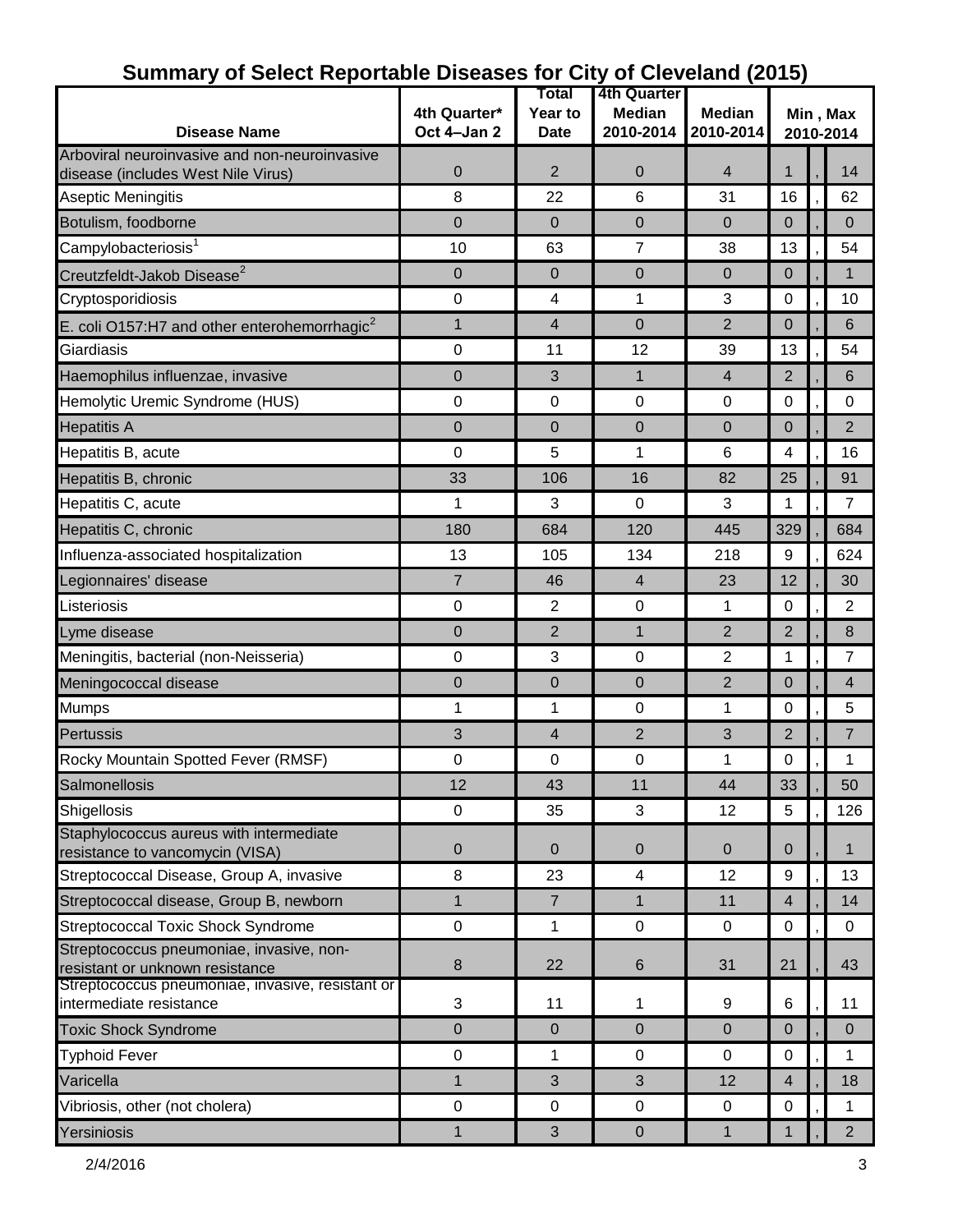|                                                                                     |                  | Total          | 4th Quarter    |                |                       |  |                |
|-------------------------------------------------------------------------------------|------------------|----------------|----------------|----------------|-----------------------|--|----------------|
|                                                                                     | 4th Quarter*     | Year to        | <b>Median</b>  | <b>Median</b>  | Min, Max<br>2010-2014 |  |                |
| <b>Disease Name</b>                                                                 | Oct 4-Jan 2      | <b>Date</b>    | 2010-2014      | 2010-2014      |                       |  |                |
| Arboviral neuroinvasive and non-neuroinvasive<br>disease (includes West Nile Virus) | $\boldsymbol{0}$ | $\overline{2}$ | 0              | $\overline{4}$ | $\mathbf{1}$          |  | 14             |
| <b>Aseptic Meningitis</b>                                                           | 8                | 22             | 6              | 31             | 16                    |  | 62             |
| Botulism, foodborne                                                                 | $\Omega$         | $\Omega$       | 0              | $\overline{0}$ | $\mathbf 0$           |  | $\mathbf 0$    |
| Campylobacteriosis <sup>1</sup>                                                     | 10               | 63             | $\overline{7}$ | 38             | 13                    |  | 54             |
| Creutzfeldt-Jakob Disease <sup>2</sup>                                              | $\mathbf 0$      | $\Omega$       | 0              | $\overline{0}$ | $\mathbf 0$           |  | 1              |
| Cryptosporidiosis                                                                   | $\pmb{0}$        | 4              | 1              | 3              | $\mathbf 0$           |  | 10             |
| E. coli O157:H7 and other enterohemorrhagic $2$                                     | 1                | $\overline{4}$ | $\mathbf 0$    | $\overline{2}$ | $\Omega$              |  | 6              |
| Giardiasis                                                                          | $\pmb{0}$        | 11             | 12             | 39             | 13                    |  | 54             |
| Haemophilus influenzae, invasive                                                    | 0                | 3              | $\mathbf{1}$   | $\overline{4}$ | $\overline{2}$        |  | 6              |
| Hemolytic Uremic Syndrome (HUS)                                                     | 0                | 0              | 0              | 0              | $\mathbf 0$           |  | 0              |
| <b>Hepatitis A</b>                                                                  | $\mathbf 0$      | $\Omega$       | 0              | 0              | $\Omega$              |  | $\overline{2}$ |
| Hepatitis B, acute                                                                  | 0                | 5              | 1              | 6              | 4                     |  | 16             |
| Hepatitis B, chronic                                                                | 33               | 106            | 16             | 82             | 25                    |  | 91             |
| Hepatitis C, acute                                                                  | 1                | 3              | 0              | 3              | 1                     |  | $\overline{7}$ |
| Hepatitis C, chronic                                                                | 180              | 684            | 120            | 445            | 329                   |  | 684            |
| Influenza-associated hospitalization                                                | 13               | 105            | 134            | 218            | 9                     |  | 624            |
| Legionnaires' disease                                                               | $\overline{7}$   | 46             | $\overline{4}$ | 23             | 12                    |  | 30             |
| Listeriosis                                                                         | $\boldsymbol{0}$ | $\overline{2}$ | 0              | 1              | 0                     |  | 2              |
| Lyme disease                                                                        | $\mathbf 0$      | 2              | $\mathbf{1}$   | 2              | $\overline{2}$        |  | 8              |
| Meningitis, bacterial (non-Neisseria)                                               | $\boldsymbol{0}$ | 3              | 0              | 2              | 1                     |  | $\overline{7}$ |
| Meningococcal disease                                                               | $\mathbf 0$      | $\overline{0}$ | $\mathbf 0$    | $\overline{2}$ | $\Omega$              |  | 4              |
| <b>Mumps</b>                                                                        | 1                | 1              | 0              | 1              | 0                     |  | 5              |
| Pertussis                                                                           | 3                | 4              | $\overline{2}$ | 3              | 2                     |  | 7              |
| Rocky Mountain Spotted Fever (RMSF)                                                 | 0                | 0              | 0              | 1              | 0                     |  | 1              |
| Salmonellosis                                                                       | 12               | 43             | 11             | 44             | 33                    |  | 50             |
| Shigellosis                                                                         | $\mathbf 0$      | 35             | 3              | 12             | $5\phantom{.0}$       |  | 126            |
| Staphylococcus aureus with intermediate<br>resistance to vancomycin (VISA)          | $\mathbf 0$      | $\overline{0}$ | $\pmb{0}$      | $\mathbf{0}$   | $\mathbf{0}$          |  | 1              |
| Streptococcal Disease, Group A, invasive                                            | 8                | 23             | 4              | 12             | 9                     |  | 13             |
| Streptococcal disease, Group B, newborn                                             | $\mathbf 1$      | $\overline{7}$ | $\mathbf{1}$   | 11             | $\overline{4}$        |  | 14             |
| Streptococcal Toxic Shock Syndrome                                                  | $\pmb{0}$        | 1              | 0              | $\mathbf 0$    | $\mathbf 0$           |  | $\mathbf 0$    |
| Streptococcus pneumoniae, invasive, non-                                            |                  |                |                |                |                       |  |                |
| resistant or unknown resistance<br>Streptococcus pneumoniae, invasive, resistant or | $\bf 8$          | 22             | 6              | 31             | 21                    |  | 43             |
| intermediate resistance                                                             | 3                | 11             | 1              | 9              | 6                     |  | 11             |
| <b>Toxic Shock Syndrome</b>                                                         | $\mathbf 0$      | $\mathbf 0$    | $\mathbf 0$    | $\mathbf 0$    | $\Omega$              |  | $\Omega$       |
| <b>Typhoid Fever</b>                                                                | $\boldsymbol{0}$ | 1              | $\pmb{0}$      | $\pmb{0}$      | 0                     |  | 1              |
| Varicella                                                                           | 1                | 3              | 3              | 12             | $\overline{4}$        |  | 18             |
| Vibriosis, other (not cholera)                                                      | $\mathbf 0$      | $\mathbf 0$    | 0              | 0              | $\mathbf 0$           |  | 1              |
| Yersiniosis                                                                         | 1                | 3              | $\pmb{0}$      | $\mathbf{1}$   | $\mathbf{1}$          |  | $2^{\circ}$    |

#### **Summary of Select Reportable Diseases for City of Cleveland (2015)**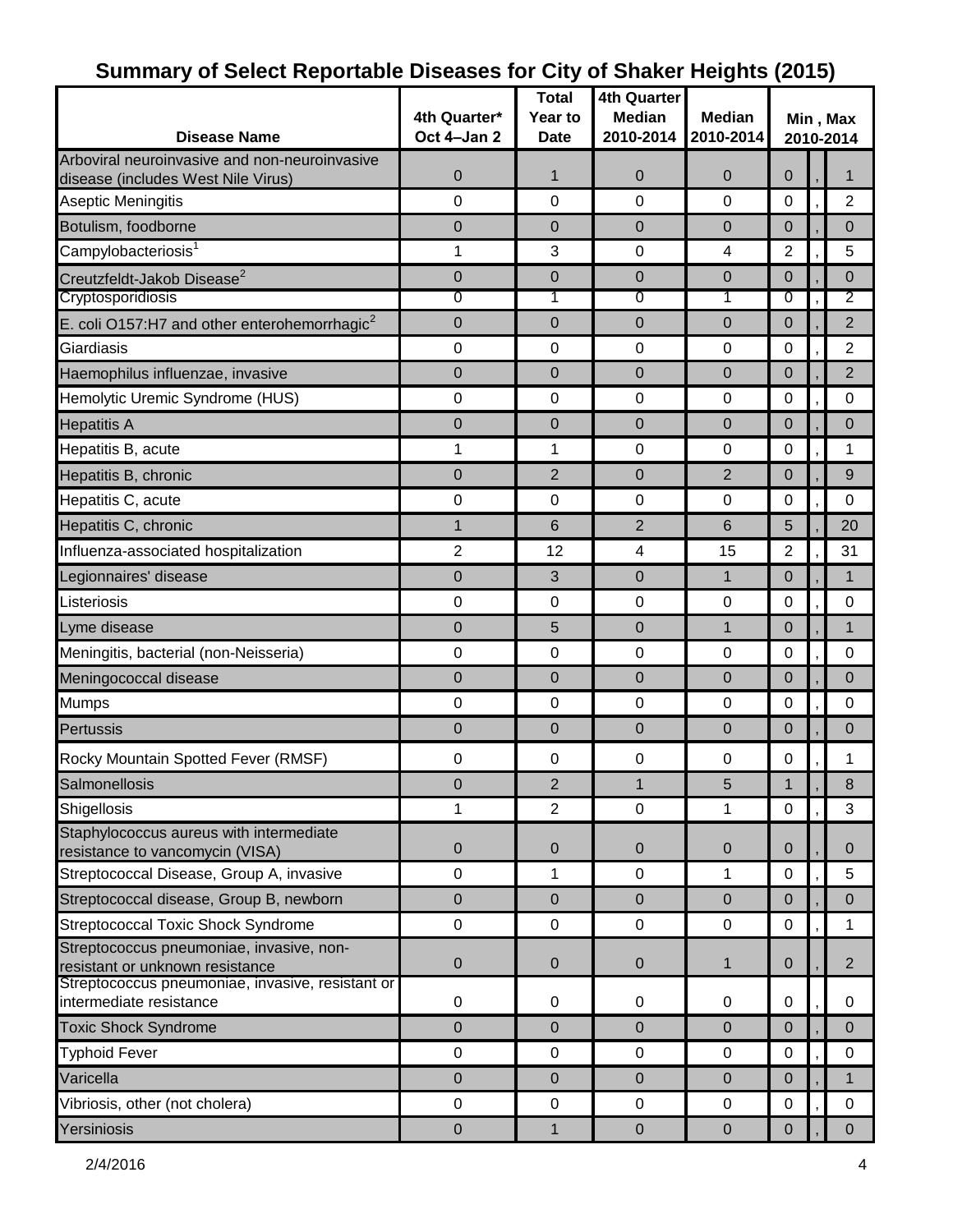| <b>Disease Name</b>                                                         | 4th Quarter*<br>Oct 4-Jan 2 | <b>Total</b><br>Year to<br><b>Date</b> | <b>4th Quarter</b><br><b>Median</b><br>2010-2014 | <b>Median</b><br>2010-2014 | Min, Max<br>2010-2014 |  |                |
|-----------------------------------------------------------------------------|-----------------------------|----------------------------------------|--------------------------------------------------|----------------------------|-----------------------|--|----------------|
| Arboviral neuroinvasive and non-neuroinvasive                               |                             |                                        |                                                  |                            |                       |  |                |
| disease (includes West Nile Virus)                                          | $\overline{0}$              | $\mathbf 1$                            | $\mathbf 0$                                      | $\mathbf 0$                | 0                     |  |                |
| Aseptic Meningitis                                                          | 0                           | $\mathbf 0$                            | $\Omega$                                         | $\Omega$                   | 0                     |  | $\overline{2}$ |
| Botulism, foodborne                                                         | 0                           | 0                                      | $\mathbf 0$                                      | $\mathbf 0$                | $\mathbf 0$           |  | $\mathbf{0}$   |
| Campylobacteriosis <sup>1</sup>                                             | 1                           | 3                                      | 0                                                | 4                          | $\overline{2}$        |  | 5              |
| Creutzfeldt-Jakob Disease <sup>2</sup>                                      | 0                           | $\mathbf 0$                            | $\mathbf 0$                                      | $\mathbf 0$                | 0                     |  | $\Omega$       |
| Cryptosporidiosis                                                           | 0                           | 1                                      | 0                                                | 1                          | 0                     |  | 2              |
| E. coli O157:H7 and other enterohemorrhagic <sup>2</sup>                    | 0                           | 0                                      | $\mathbf 0$                                      | $\mathbf 0$                | 0                     |  | $\overline{2}$ |
| Giardiasis                                                                  | $\mathbf 0$                 | $\mathbf 0$                            | 0                                                | $\mathbf 0$                | 0                     |  | $\overline{2}$ |
| Haemophilus influenzae, invasive                                            | 0                           | 0                                      | $\mathbf 0$                                      | 0                          | 0                     |  | $\overline{2}$ |
| Hemolytic Uremic Syndrome (HUS)                                             | 0                           | 0                                      | 0                                                | 0                          | 0                     |  | 0              |
| <b>Hepatitis A</b>                                                          | 0                           | $\Omega$                               | $\Omega$                                         | $\Omega$                   | 0                     |  | $\Omega$       |
| Hepatitis B, acute                                                          | 1                           | 1                                      | 0                                                | 0                          | 0                     |  | 1              |
| Hepatitis B, chronic                                                        | 0                           | $\overline{2}$                         | $\mathbf 0$                                      | $\overline{2}$             | 0                     |  | 9              |
| Hepatitis C, acute                                                          | $\pmb{0}$                   | $\mathbf 0$                            | $\mathbf 0$                                      | 0                          | 0                     |  | 0              |
| Hepatitis C, chronic                                                        | 1                           | 6                                      | $\overline{2}$                                   | $6\phantom{1}$             | 5                     |  | 20             |
| Influenza-associated hospitalization                                        | 2                           | 12                                     | 4                                                | 15                         | 2                     |  | 31             |
| Legionnaires' disease                                                       | 0                           | 3                                      | $\mathbf 0$                                      | $\mathbf{1}$               | 0                     |  | 1              |
| Listeriosis                                                                 | 0                           | 0                                      | 0                                                | 0                          | 0                     |  | 0              |
| Lyme disease                                                                | 0                           | 5                                      | $\mathbf 0$                                      | 1                          | 0                     |  | $\mathbf 1$    |
| Meningitis, bacterial (non-Neisseria)                                       | 0                           | 0                                      | 0                                                | 0                          | 0                     |  | 0              |
| Meningococcal disease                                                       | 0                           | 0                                      | $\mathbf 0$                                      | $\mathbf 0$                | 0                     |  | $\Omega$       |
| <b>Mumps</b>                                                                | 0                           | $\mathbf 0$                            | $\Omega$                                         | $\overline{0}$             | 0                     |  | $\Omega$       |
| Pertussis                                                                   | 0                           | $\mathbf 0$                            | $\mathbf 0$                                      | $\mathbf 0$                | 0                     |  | $\mathbf 0$    |
| Rocky Mountain Spotted Fever (RMSF)                                         | 0                           | 0                                      | 0                                                | 0                          | 0                     |  | 1              |
| Salmonellosis                                                               | 0                           | $\overline{2}$                         | 1                                                | 5                          | 1                     |  | 8              |
| Shigellosis                                                                 | 1                           | $\overline{2}$                         | $\mathbf 0$                                      | 1                          | $\mathbf 0$           |  | 3              |
| Staphylococcus aureus with intermediate<br>resistance to vancomycin (VISA)  | $\overline{0}$              | $\mathbf{0}$                           | $\mathbf 0$                                      | $\mathbf 0$                | 0                     |  | 0              |
| Streptococcal Disease, Group A, invasive                                    | $\mathbf 0$                 | 1                                      | $\mathbf 0$                                      | 1                          | $\mathbf 0$           |  | 5              |
| Streptococcal disease, Group B, newborn                                     | 0                           | $\mathbf 0$                            | $\mathbf 0$                                      | $\mathbf 0$                | $\mathbf 0$           |  | $\mathbf{0}$   |
| <b>Streptococcal Toxic Shock Syndrome</b>                                   | $\pmb{0}$                   | $\pmb{0}$                              | $\pmb{0}$                                        | 0                          | 0                     |  | 1              |
| Streptococcus pneumoniae, invasive, non-<br>resistant or unknown resistance | $\mathbf 0$                 | $\mathbf 0$                            | $\mathbf 0$                                      | $\mathbf{1}$               | $\mathbf 0$           |  | $\overline{2}$ |
| Streptococcus pneumoniae, invasive, resistant or<br>intermediate resistance | $\pmb{0}$                   | 0                                      | 0                                                | 0                          | 0                     |  | 0              |
| <b>Toxic Shock Syndrome</b>                                                 | $\mathbf 0$                 | $\pmb{0}$                              | $\pmb{0}$                                        | $\pmb{0}$                  | $\mathbf{0}$          |  | $\mathbf{0}$   |
| <b>Typhoid Fever</b>                                                        | $\mathbf 0$                 | $\mathbf 0$                            | $\mathbf 0$                                      | 0                          | 0                     |  | 0              |
| Varicella                                                                   | $\pmb{0}$                   | $\pmb{0}$                              | $\pmb{0}$                                        | $\mathbf 0$                | 0                     |  | 1              |
| Vibriosis, other (not cholera)                                              | $\mathbf 0$                 | $\mathbf 0$                            | $\mathbf 0$                                      | $\mathbf 0$                | $\mathbf 0$           |  | 0              |
| Yersiniosis                                                                 | 0                           | $\mathbf{1}$                           | $\pmb{0}$                                        | $\pmb{0}$                  | 0                     |  | $\overline{0}$ |

### **Summary of Select Reportable Diseases for City of Shaker Heights (2015)**